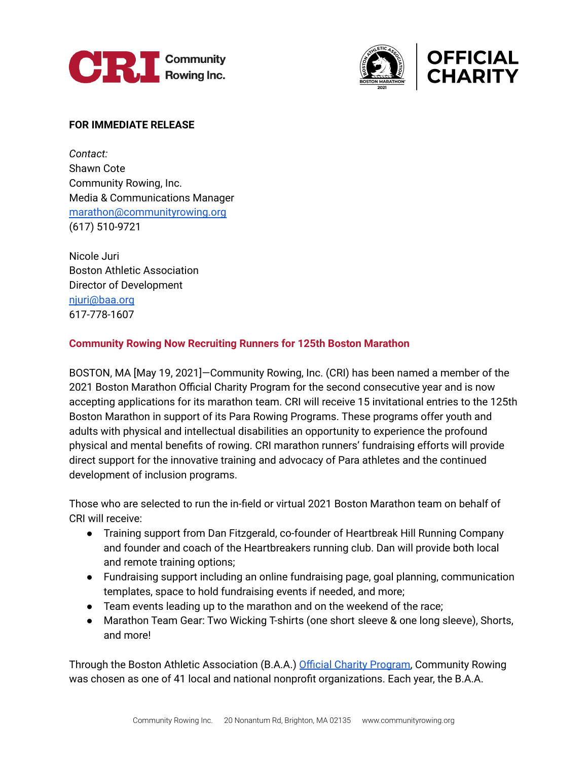



## **FOR IMMEDIATE RELEASE**

*Contact:* Shawn Cote Community Rowing, Inc. Media & Communications Manager [marathon@communityrowing.org](mailto:marathon@communityrowing.org) (617) 510-9721

Nicole Juri Boston Athletic Association Director of Development [njuri@baa.org](mailto:njuri@baa.org) 617-778-1607

## **Community Rowing Now Recruiting Runners for 125th Boston Marathon**

BOSTON, MA [May 19, 2021]—Community Rowing, Inc. (CRI) has been named a member of the 2021 Boston Marathon Official Charity Program for the second consecutive year and is now accepting applications for its marathon team. CRI will receive 15 invitational entries to the 125th Boston Marathon in support of its Para Rowing Programs. These programs offer youth and adults with physical and intellectual disabilities an opportunity to experience the profound physical and mental benefits of rowing. CRI marathon runners' fundraising efforts will provide direct support for the innovative training and advocacy of Para athletes and the continued development of inclusion programs.

Those who are selected to run the in-field or virtual 2021 Boston Marathon team on behalf of CRI will receive:

- Training support from Dan Fitzgerald, co-founder of Heartbreak Hill Running Company and founder and coach of the Heartbreakers running club. Dan will provide both local and remote training options;
- Fundraising support including an online fundraising page, goal planning, communication templates, space to hold fundraising events if needed, and more;
- Team events leading up to the marathon and on the weekend of the race;
- Marathon Team Gear: Two Wicking T-shirts (one short sleeve & one long sleeve), Shorts, and more!

Through the Boston Athletic Association (B.A.A.) Official Charity [Program,](https://www.baa.org/races/boston-marathon/charity-program) Community Rowing was chosen as one of 41 local and national nonprofit organizations. Each year, the B.A.A.